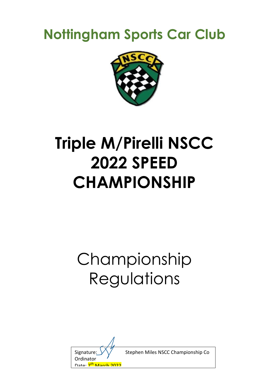## **Nottingham Sports Car Club**



# **Triple M/Pirelli NSCC 2022 SPEED CHAMPIONSHIP**

# Championship Regulations

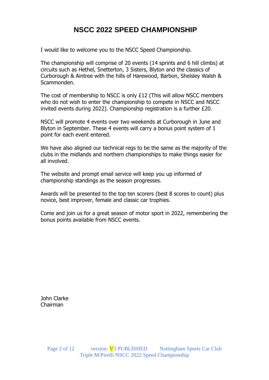## **NSCC 2022 SPEED CHAMPIONSHIP**

I would like to welcome you to the NSCC Speed Championship.

The championship will comprise of 20 events (14 sprints and 6 hill climbs) at circuits such as Hethel, Snetterton, 3 Sisters, Blyton and the classics of Curborough & Aintree with the hills of Harewood, Barbon, Shelsley Walsh & Scammonden.

The cost of membership to NSCC is only £12 (This will allow NSCC members who do not wish to enter the championship to compete in NSCC and NSCC invited events during 2022). Championship registration is a further £20.

NSCC will promote 4 events over two weekends at Curborough in June and Blyton in September. These 4 events will carry a bonus point system of 1 point for each event entered.

We have also aligned our technical regs to be the same as the majority of the clubs in the midlands and northern championships to make things easier for all involved.

The website and prompt email service will keep you up informed of championship standings as the season progresses.

Awards will be presented to the top ten scorers (best 8 scores to count) plus novice, best improver, female and classic car trophies.

Come and join us for a great season of motor sport in 2022, remembering the bonus points available from NSCC events.

John Clarke Chairman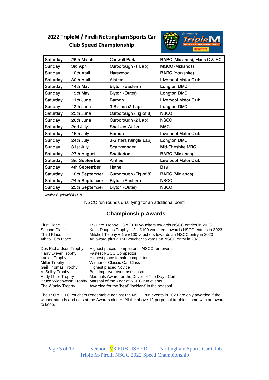## 2022 TripleM / Pirelli Nottingham Sports Car **Club Speed Championship**



| Saturday | 26th March     | Cadwell Park           | BARC (Midlands), Herts C & AC |
|----------|----------------|------------------------|-------------------------------|
| Sunday   | 3rd April      | Curborough (1 Lap)     | MGCC (Midlands)               |
| Sunday   | 10th April     | Harewood               | <b>BARC</b> (Yorkshire)       |
| Saturday | 30th April     | Aintree                | Liverpool Motor Club          |
| Saturday | 14th May       | Blyton (Eastern)       | Longton DMC                   |
| Sunday   | 15th May       | Blyton (Outer)         | Longton DMC                   |
| Saturday | 11th June      | Barbon                 | Liverpool Motor Club          |
| Sunday   | 12th June      | 3-Sisters (2-Lap)      | Longton DMC                   |
| Saturday | 25th June      | Curborough (Fig of 8)  | <b>NSCC</b>                   |
| Sunday   | 26th June      | Curborough (2 Lap)     | <b>NSCC</b>                   |
| Saturday | 2nd July       | Shelsley Walsh         | MAC                           |
| Saturday | 16th July      | Barbon                 | Liverpool Motor Club          |
| Sunday   | 24th July      | 3-Sisters (Single Lap) | Longton DMC                   |
| Sunday   | 31st July      | Scammonden             | Mid-Cheshire MRC              |
| Saturday | 27th August    | Snetterton             | <b>BARC</b> (Midlands)        |
| Saturday | 3rd September  | Aintree                | Liverpool Motor Club          |
| Sunday   | 4th September  | Hethel                 | <b>B19</b>                    |
| Saturday | 10th September | Curborough (Fig of 8)  | <b>BARC</b> (Midlands)        |
| Saturday | 24th September | Blyton (Eastern)       | <b>NSCC</b>                   |
| Sunday   | 25th September | Blyton (Outer)         | <b>NSCC</b>                   |

version 2 updated 28.11.21

NSCC run rounds qualifying for an additional point

## **Championship Awards**

| <b>First Place</b>                                                                                                                                               | 1\% Litre Trophy + 3 x £100 vouchers towards NSCC entries in 2023                                                                                                                                                                                                                                                                                                                           |
|------------------------------------------------------------------------------------------------------------------------------------------------------------------|---------------------------------------------------------------------------------------------------------------------------------------------------------------------------------------------------------------------------------------------------------------------------------------------------------------------------------------------------------------------------------------------|
| Second Place                                                                                                                                                     | Keith Douglas Trophy + $2 \times £100$ vouchers towards NSCC entries in 2023                                                                                                                                                                                                                                                                                                                |
| <b>Third Place</b>                                                                                                                                               | Mitchell Trophy + 1 x £100 vouchers towards an NSCC entry in 2023                                                                                                                                                                                                                                                                                                                           |
| 4th to 10th Place                                                                                                                                                | An award plus a £50 voucher towards an NSCC entry in 2023                                                                                                                                                                                                                                                                                                                                   |
| Des Richardson Trophy<br>Harry Driver Trophy<br>Ladies Trophy<br>Miller Trophy<br>Gail Thomas Trophy<br>Vi Selby Trophy<br>Andy Offer Trophy<br>The Wonky Trophy | Highest placed competitor in NSCC run events<br><b>Fastest NSCC Competitor</b><br>Highest place female competitor<br>Winner of Classic Car Class<br><b>Highest placed Novice</b><br>Best Improver over last season<br>Marshals Award for the Driver of The Day - Curb.<br>Bruce Widdowson Trophy Marshal of the Year at NSCC run events<br>Awarded for the 'best' 'incident' in the season! |

The £50 & £100 vouchers redeemable against the NSCC run events in 2023 are only awarded if the winner attends and eats at the Awards dinner. All the above 12 perpetual trophies come with an award to keep.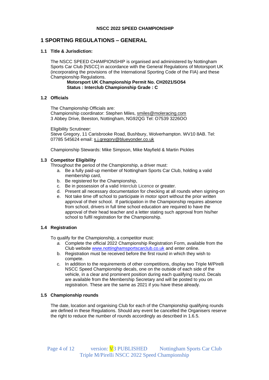## **1 SPORTING REGULATIONS – GENERAL**

## **1.1 Title & Jurisdiction:**

The NSCC SPEED CHAMPIONSHIP is organised and administered by Nottingham Sports Car Club [NSCC] in accordance with the General Regulations of Motorsport UK (incorporating the provisions of the International Sporting Code of the FIA) and these Championship Regulations.

### **Motorsport UK Championship Permit No. CH2021/SO54 Status : Interclub Championship Grade : C**

## **1.2 Officials**

The Championship Officials are:

Championship coordinator: Stephen Miles, [smiles@moleracing.com](mailto:smiles@moleracing.com) 3 Abbey Drive, Beeston, Nottingham, NG92QG Tel: O7539 3226OO

Eligibility Scrutineer:

Steve Gregory, 11 Carisbrooke Road, Bushbury, Wolverhampton. WV10 8AB. Tel: 07785 545624 email: [s.j.gregory@blueyonder.co.uk](mailto:s.j.gregory@blueyonder.co.uk)

Championship Stewards: Mike Simpson, Mike Mayfield & Martin Pickles

## **1.3 Competitor Eligibility**

Throughout the period of the Championship, a driver must:

- a. Be a fully paid-up member of Nottingham Sports Car Club, holding a valid membership card,
- b. Be registered for the Championship,
- c. Be in possession of a valid Interclub Licence or greater.
- d. Present all necessary documentation for checking at all rounds when signing-on
- e. Not take time off school to participate in motor sport without the prior written approval of their school. If participation in the Championship requires absence from school, drivers in full time school education are required to have the approval of their head teacher and a letter stating such approval from his/her school to fulfil registration for the Championship.

## **1.4 Registration**

To qualify for the Championship, a competitor must:

- *a.* Complete the official 2022 Championship Registration Form, available from the Club website [www.nottinghamsportscarclub.co.uk](http://www.nottinghamsportscarclub.co.uk/) and enter online.
- b. Registration must be received before the first round in which they wish to compete.
- c. In addition to the requirements of other competitions, display two Triple M/Pirelli NSCC Speed Championship decals, one on the outside of each side of the vehicle, in a clear and prominent position during each qualifying round. Decals are available from the Membership Secretary and will be posted to you on registration. These are the same as 2021 if you have these already.

## **1.5 Championship rounds**

The date, location and organising Club for each of the Championship qualifying rounds are defined in these Regulations. Should any event be cancelled the Organisers reserve the right to reduce the number of rounds accordingly as described in 1.6.5.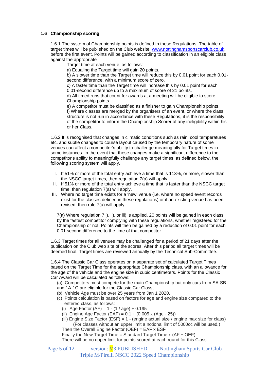## **1.6 Championship scoring**

1.6.1 The system of Championship points is defined in these Regulations. The table of target times will be published on the Club website, [www.nottinghamsportscarclub.co.uk,](http://www.nottinghamsportscarclub.co.uk/) before the first event. Points will be gained according to classification in an eligible class against the appropriate

Target time at each venue, as follows:

a) Equaling the Target time will gain 20 points.

b) A slower time than the Target time will reduce this by 0.01 point for each 0.01 second difference, with a minimum score of zero.

c) A faster time than the Target time will increase this by 0.01 point for each 0.01-second difference up to a maximum of score of 21 points.

d) All timed runs that count for awards at a meeting will be eligible to score Championship points.

e) A competitor must be classified as a finisher to gain Championship points. f) Where classes are merged by the organisers of an event, or where the class structure is not run in accordance with these Regulations, it is the responsibility of the competitor to inform the Championship Scorer of any ineligibility within his or her Class.

1.6.2 It is recognised that changes in climatic conditions such as rain, cool temperatures etc. and subtle changes to course layout caused by the temporary nature of some venues can affect a competitor's ability to challenge meaningfully for Target times in some instances. In the event that these changes make a significant difference to the competitor's ability to meaningfully challenge any target times, as defined below, the following scoring system will apply.

- I. If 51% or more of the total entry achieve a time that is 113%, or more, slower than the NSCC target times, then regulation 7(a) will apply.
- II. If 51% or more of the total entry achieve a time that is faster than the NSCC target time, then regulation 7(a) will apply.
- III. Where no target time exists for a 'new' venue (i.e. where no speed event records exist for the classes defined in these regulations) or if an existing venue has been revised, then rule 7(a) will apply.

7(a) Where regulation 7 i), ii), or iii) is applied, 20 points will be gained in each class by the fastest competitor complying with these regulations, whether registered for the Championship or not. Points will then be gained by a reduction of 0.01 point for each 0.01 second difference to the time of that competitor.

1.6.3 Target times for all venues may be challenged for a period of 21 days after the publication on the Club web site of the scores. After this period all target times will be deemed final. Target times are reviewed annually by the Technical Sub-Committee.

1.6.4 The Classic Car Class operates on a separate set of calculated Target Times based on the Target Time for the appropriate Championship class, with an allowance for the age of the vehicle and the engine size in cubic centimeters. Points for the Classic Car Award will be calculated as follows:

(a) Competitors must compete for the main Championship but only cars from SA-SB and 1A-1C are eligible for the Classic Car Class,

- (b) Vehicle Age must be over 25 years from Jan 1 2020.
- (c) Points calculation is based on factors for age and engine size compared to the entered class, as follows:
	- (i) Age Factor  $(AF) = 1 (1 / aqe) + 0.195$
	- (ii) Engine Age Factor (EAF) =  $0.1 + (0.005 \times (Age 25))$
	- (iii) Engine Size Factor (ESF) = 1 (engine actual size / engine max size for class) (For classes without an upper limit a notional limit of 5000cc will be used.) Then the Overall Engine Factor (OEF) = EAF x ESF

Finally the New Target Time = Standard Target Time  $x$  (AF + OEF)

There will be no upper limit for points scored at each round for this Class.

Page 5 of 12 version: V<sub>3</sub> PUBLISHED Nottingham Sports Car Club Triple M/Pirelli NSCC 2022 Speed Championship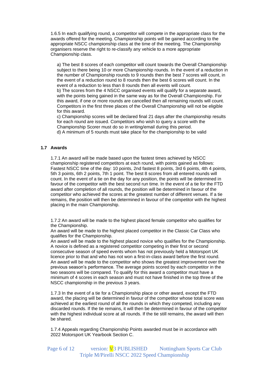1.6.5 In each qualifying round, a competitor will compete in the appropriate class for the awards offered for the meeting. Championship points will be gained according to the appropriate NSCC championship class at the time of the meeting. The Championship organisers reserve the right to re-classify any vehicle to a more appropriate Championship class.

a) The best 8 scores of each competitor will count towards the Overall Championship subject to there being 10 or more Championship rounds. In the event of a reduction in the number of Championship rounds to 9 rounds then the best 7 scores will count, in the event of a reduction round to 8 rounds then the best 6 scores will count. In the event of a reduction to less than 8 rounds then all events will count.

b) The scores from the 4 NSCC organised events will qualify for a separate award, with the points being gained in the same way as for the Overall Championship. For this award, if one or more rounds are cancelled then all remaining rounds will count. Competitors in the first three places of the Overall Championship will not be eligible for this award.

c) Championship scores will be declared final 21 days after the championship results for each round are issued. Competitors who wish to query a score with the Championship Scorer must do so in writing/email during this period.

d) A minimum of 5 rounds must take place for the championship to be valid

## **1.7 Awards**

1.7.1 An award will be made based upon the fastest times achieved by NSCC championship registered competitors at each round, with points gained as follows: Fastest NSCC time of the day: 10 points, 2nd fastest 8 points, 3rd 6 points, 4th 4 points, 5th 3 points, 6th 2 points, 7th 1 point. The best 8 scores from all entered rounds will count. In the event of a tie on the day for any position, the points will be determined in favour of the competitor with the best second run time. In the event of a tie for the FTD award after completion of all rounds, the position will be determined in favour of the competitor who achieved the scores at the greatest number of different venues. If a tie remains, the position will then be determined in favour of the competitor with the highest placing in the main Championship.

1.7.2 An award will be made to the highest placed female competitor who qualifies for the Championship.

An award will be made to the highest placed competitor in the Classic Car Class who qualifies for the Championship.

An award will be made to the highest placed novice who qualifies for the Championship. A novice is defined as a registered competitor competing in their first or second consecutive season of speed events whom has not previously held a Motorsport UK licence prior to that and who has not won a first-in-class award before the first round. An award will be made to the competitor who shows the greatest improvement over the previous season's performance. The average points scored by each competitor in the two seasons will be compared. To qualify for this award a competitor must have a minimum of 4 scores in each season and must not have finished in the top three of the NSCC championship in the previous 3 years.

1.7.3 In the event of a tie for a Championship place or other award, except the FTD award, the placing will be determined in favour of the competitor whose total score was achieved at the earliest round of all the rounds in which they competed, including any discarded rounds. If the tie remains, it will then be determined in favour of the competitor with the highest individual score at all rounds. If the tie still remains, the award will then be shared.

1.7.4 Appeals regarding Championship Points awarded must be in accordance with 2022 Motorsport UK Yearbook Section C.

Page 6 of 12 version: V<sub>3</sub> PUBLISHED Nottingham Sports Car Club Triple M/Pirelli NSCC 2022 Speed Championship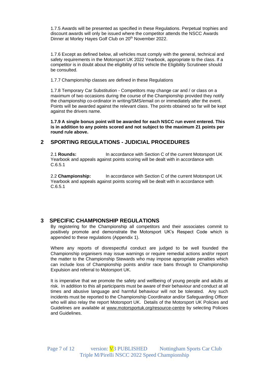1.7.5 Awards will be presented as specified in these Regulations. Perpetual trophies and discount awards will only be issued where the competitor attends the NSCC Awards Dinner at Morley Hayes Golf Club on 20<sup>th</sup> November 2022.

1.7.6 Except as defined below, all vehicles must comply with the general, technical and safety requirements in the Motorsport UK 2022 Yearbook, appropriate to the class. If a competitor is in doubt about the eligibility of his vehicle the Eligibility Scrutineer should be consulted.

1.7.7 Championship classes are defined in these Regulations

1.7.8 Temporary Car Substitution - Competitors may change car and / or class on a maximum of two occasions during the course of the Championship provided they notify the championship co-ordinator in writing/SMS/email on or immediately after the event. Points will be awarded against the relevant class. The points obtained so far will be kept against the drivers name.

**1.7.9 A single bonus point will be awarded for each NSCC run event entered. This is in addition to any points scored and not subject to the maximum 21 points per round rule above.** 

## **2 SPORTING REGULATIONS - JUDICIAL PROCEDURES**

2.1 **Rounds:** In accordance with Section C of the current Motorsport UK Yearbook and appeals against points scoring will be dealt with in accordance with C.6.5.1

2.2 **Championship:** In accordance with Section C of the current Motorsport UK Yearbook and appeals against points scoring will be dealt with in accordance with C.6.5.1

## **3 SPECIFIC CHAMPIONSHIP REGULATIONS**

By registering for the Championship all competitors and their associates commit to positively promote and demonstrate the Motorsport UK's Respect Code which is appended to these regulations (Appendix 1).

Where any reports of disrespectful conduct are judged to be well founded the Championship organisers may issue warnings or require remedial actions and/or report the matter to the Championship Stewards who may impose appropriate penalties which can include loss of Championship points and/or race bans through to Championship Expulsion and referral to Motorsport UK.

It is imperative that we promote the safety and wellbeing of young people and adults at risk. In addition to this all participants must be aware of their behaviour and conduct at all times and abusive language and harmful behaviour will not be tolerated. Any such incidents must be reported to the Championship Coordinator and/or Safeguarding Officer who will also relay the report Motorsport UK. Details of the Motorsport UK Policies and Guidelines are available at [www.motorsportuk.org/resource-centre](http://www.motorsportuk.org/resource-centre) by selecting Policies and Guidelines.

Page 7 of 12 version: V<sub>3</sub> PUBLISHED Nottingham Sports Car Club Triple M/Pirelli NSCC 2022 Speed Championship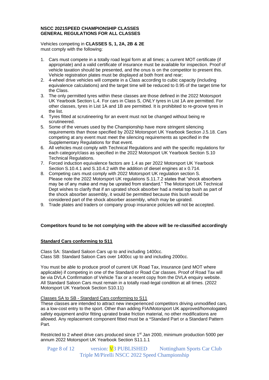## **NSCC 2021SPEED CHAMPIONSHIP CLASSES GENERAL REGULATIONS FOR ALL CLASSES**

Vehicles competing in **CLASSES S, 1, 2A, 2B & 2E** must comply with the following:

- 1. Cars must compete in a totally road legal form at all times; a current MOT certificate (if appropriate) and a valid certificate of insurance must be available for inspection. Proof of vehicle taxation should be presented, and the onus is on the competitor to present this. Vehicle registration plates must be displayed at both front and rear;
- 2. 4-wheel drive vehicles will compete in a Class according to cubic capacity (including equivalence calculations) and the target time will be reduced to 0.95 of the target time for the Class.
- 3. The only permitted tyres within these classes are those defined in the 2022 Motorsport UK Yearbook Section L.4. For cars in Class S, *ONLY* tyres in List 1A are permitted. For other classes, tyres in List 1A and 1B are permitted. It is prohibited to re-groove tyres in the list.
- 4. Tyres fitted at scrutineering for an event must not be changed without being re scrutineered.
- 5. Some of the venues used by the Championship have more stringent silencing requirements than those specified by 2022 Motorsport UK Yearbook Section J.5.18. Cars competing at any event must meet the silencing requirements as specified in the Supplementary Regulations for that event.
- 6. All vehicles must comply with Technical Regulations and with the specific regulations for each category/class as specified in the 2022 Motorsport UK Yearbook Section S.10 Technical Regulations.
- 7. Forced induction equivalence factors are 1.4 as per 2022 Motorsport UK Yearbook Section S.10.4.1 and S.10.4.2 with the addition of diesel engines at x 0.714.
- 8. Competing cars must comply with 2022 Motorsport UK regulation section S. Please note the 2022 Motorsport UK regulations S.11.7.2 states that "shock absorbers may be of any make and may be uprated from standard." The Motorsport UK Technical Dept wishes to clarify that if an uprated shock absorber had a metal top bush as part of the shock absorber assembly, it would be permitted because this bush would be considered part of the shock absorber assembly, which may be uprated.
- 9. Trade plates and traders or company group insurance policies will not be accepted.

## **Competitors found to be not complying with the above will be re-classified accordingly**

## **Standard Cars conforming to S11**

Class SA: Standard Saloon Cars up to and including 1400cc. Class SB: Standard Saloon Cars over 1400cc up to and including 2000cc.

You must be able to produce proof of current UK Road Tax, Insurance (and MOT where applicable) if competing in one of the Standard or Road Car classes. Proof of Road Tax will be via DVLA Confirmation of Vehicle Tax or a recent copy from the DVLA enquiry website. All Standard Saloon Cars must remain in a totally road-legal condition at all times. (2022 Motorsport UK Yearbook Section S10.11)

## Classes SA to SB - Standard Cars conforming to S11

These classes are intended to attract new inexperienced competitors driving unmodified cars, as a low-cost entry to the sport. Other than adding FIA/Motorsport UK approved/homologated safety equipment and/or fitting uprated brake friction material, no other modifications are allowed. Any replacement component fitted must be a \*Standard Part or a Standard Pattern Part.

Restricted to 2 wheel drive cars produced since 1<sup>st</sup> Jan 2000, minimum production 5000 per annum 2022 Motorsport UK Yearbook Section S11.1.1

Page 8 of 12 version: V<sub>3</sub> PUBLISHED Nottingham Sports Car Club Triple M/Pirelli NSCC 2022 Speed Championship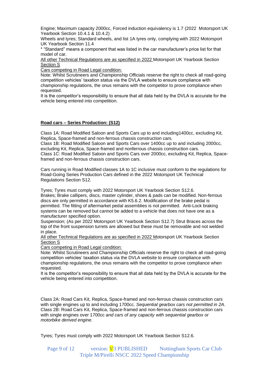Engine; Maximum capacity 2000cc, Forced induction equivalency is 1.7 (2022 Motorsport UK Yearbook Section 10.4.1 & 10.4.2)

Wheels and tyres; Standard wheels, and list 1A tyres only, complying with 2022 Motorsport UK Yearbook Section 11.4

\* "Standard" means a component that was listed in the car manufacturer's price list for that model of car.

All other Technical Regulations are as specified in 2022 Motorsport UK Yearbook Section Section S

Cars competing in Road Legal condition:

Note: Whilst Scrutineers and Championship Officials reserve the right to check all road-going competition vehicles' taxation status via the DVLA website to ensure compliance with championship regulations, the onus remains with the competitor to prove compliance when requested.

It is the competitor's responsibility to ensure that all data held by the DVLA is accurate for the vehicle being entered into competition.

## **Road cars – Series Production: (S12)**

Class 1A: Road Modified Saloon and Sports Cars up to and including1400cc, excluding Kit, Replica, Space-framed and non-ferrous chassis construction cars.

Class 1B: Road Modified Saloon and Sports Cars over 1400cc up to and including 2000cc, excluding Kit, Replica, Space-framed and nonferrous chassis construction cars.

Class 1C: Road Modified Saloon and Sports Cars over 2000cc, excluding Kit, Replica, Spaceframed and non-ferrous chassis construction cars.

Cars running in Road Modified classes 1A to 1C inclusive must conform to the regulations for Road-Going Series Production Cars defined in the 2022 Motorsport UK Technical Regulations Section S12.

Tyres; Tyres must comply with 2022 Motorsport UK Yearbook Section S12.6. Brakes; Brake callipers, discs, master cylinder, shoes & pads can be modified. Non-ferrous discs are only permitted in accordance with K5.6.2. Modification of the brake pedal is permitted. The fitting of aftermarket pedal assemblies is not permitted. Anti-Lock braking systems can be removed but cannot be added to a vehicle that does not have one as a manufacturer specified option.

Suspension; (As per 2022 Motorsport UK Yearbook Section S12.7) Strut Braces across the top of the front suspension turrets are allowed but these must be removable and not welded in place.

All other Technical Regulations are as specified in 2022 Motorsport UK Yearbook Section Section S

Cars competing in Road Legal condition:

Note: Whilst Scrutineers and Championship Officials reserve the right to check all road-going competition vehicles' taxation status via the DVLA website to ensure compliance with championship regulations, the onus remains with the competitor to prove compliance when requested.

It is the competitor's responsibility to ensure that all data held by the DVLA is accurate for the vehicle being entered into competition.

Class 2A: Road Cars Kit, Replica, Space-framed and non-ferrous chassis construction cars with single engines up to and including 1700cc. *Sequential gearbox cars not permitted in 2A*. Class 2B: Road Cars Kit, Replica, Space-framed and non-ferrous chassis construction cars with single engines over 1700cc *and cars of any capacity with sequential gearbox or motorbike derived engine.*

Tyres; Tyres must comply with 2022 Motorsport UK Yearbook Section S12.6.

Page 9 of 12 version: V<sub>3</sub> PUBLISHED Nottingham Sports Car Club Triple M/Pirelli NSCC 2022 Speed Championship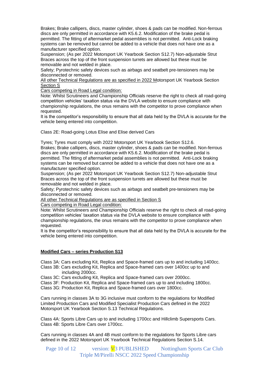Brakes; Brake callipers, discs, master cylinder, shoes & pads can be modified. Non-ferrous discs are only permitted in accordance with K5.6.2. Modification of the brake pedal is permitted. The fitting of aftermarket pedal assemblies is not permitted. Anti-Lock braking systems can be removed but cannot be added to a vehicle that does not have one as a manufacturer specified option.

Suspension; (As per 2022 Motorsport UK Yearbook Section S12.7) Non-adjustable Strut Braces across the top of the front suspension turrets are allowed but these must be removable and not welded in place.

Safety; Pyrotechnic safety devices such as airbags and seatbelt pre-tensioners may be disconnected or removed.

All other Technical Regulations are as specified in 2022 Motorsport UK Yearbook Section Section S

Cars competing in Road Legal condition:

Note: Whilst Scrutineers and Championship Officials reserve the right to check all road-going competition vehicles' taxation status via the DVLA website to ensure compliance with championship regulations, the onus remains with the competitor to prove compliance when requested.

It is the competitor's responsibility to ensure that all data held by the DVLA is accurate for the vehicle being entered into competition.

Class 2E: Road-going Lotus Elise and Elise derived Cars

Tyres; Tyres must comply with 2022 Motorsport UK Yearbook Section S12.6. Brakes; Brake callipers, discs, master cylinder, shoes & pads can be modified. Non-ferrous discs are only permitted in accordance with K5.6.2. Modification of the brake pedal is permitted. The fitting of aftermarket pedal assemblies is not permitted. Anti-Lock braking

systems can be removed but cannot be added to a vehicle that does not have one as a manufacturer specified option.

Suspension; (As per 2022 Motorsport UK Yearbook Section S12.7) Non-adjustable Strut Braces across the top of the front suspension turrets are allowed but these must be removable and not welded in place.

Safety; Pyrotechnic safety devices such as airbags and seatbelt pre-tensioners may be disconnected or removed.

All other Technical Regulations are as specified in Section S

Cars competing in Road Legal condition:

Note: Whilst Scrutineers and Championship Officials reserve the right to check all road-going competition vehicles' taxation status via the DVLA website to ensure compliance with championship regulations, the onus remains with the competitor to prove compliance when requested.

It is the competitor's responsibility to ensure that all data held by the DVLA is accurate for the vehicle being entered into competition.

## **Modified Cars – series Production S13**

Class 3A: Cars excluding Kit, Replica and Space-framed cars up to and including 1400cc. Class 3B: Cars excluding Kit, Replica and Space-framed cars over 1400cc up to and

including 2000cc.

Class 3C: Cars excluding Kit, Replica and Space-framed cars over 2000cc.

Class 3F: Production Kit, Replica and Space-framed cars up to and including 1800cc. Class 3G: Production Kit, Replica and Space-framed cars over 1800cc.

Cars running in classes 3A to 3G inclusive must conform to the regulations for Modified Limited Production Cars and Modified Specialist Production Cars defined in the 2022 Motorsport UK Yearbook Section S.13 Technical Regulations.

Class 4A: Sports Libre Cars up to and including 1700cc and Hillclimb Supersports Cars. Class 4B: Sports Libre Cars over 1700cc.

Cars running in classes 4A and 4B must conform to the regulations for Sports Libre cars defined in the 2022 Motorsport UK Yearbook Technical Regulations Section S.14.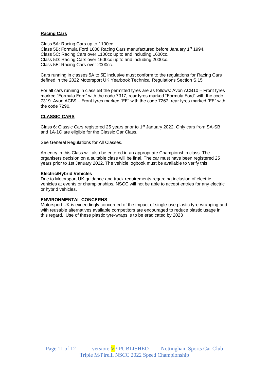## **Racing Cars**

Class 5A: Racing Cars up to 1100cc. Class 5B: Formula Ford 1600 Racing Cars manufactured before January 1st 1994. Class 5C: Racing Cars over 1100cc up to and including 1600cc. Class 5D: Racing Cars over 1600cc up to and including 2000cc. Class 5E: Racing Cars over 2000cc.

Cars running in classes 5A to 5E inclusive must conform to the regulations for Racing Cars defined in the 2022 Motorsport UK Yearbook Technical Regulations Section S.15

For all cars running in class 5B the permitted tyres are as follows: Avon ACB10 – Front tyres marked "Formula Ford" with the code 7317, rear tyres marked "Formula Ford" with the code 7319. Avon ACB9 – Front tyres marked "FF" with the code 7267, rear tyres marked "FF" with the code 7290.

## **CLASSIC CARS**

Class 6: Classic Cars registered 25 years prior to 1<sup>st</sup> January 2022. Only cars from SA-SB and 1A-1C are eligible for the Classic Car Class,

See General Regulations for All Classes.

An entry in this Class will also be entered in an appropriate Championship class. The organisers decision on a suitable class will be final. The car must have been registered 25 years prior to 1st January 2022. The vehicle logbook must be available to verify this.

#### **Electric/Hybrid Vehicles**

Due to Motorsport UK guidance and track requirements regarding inclusion of electric vehicles at events or championships, NSCC will not be able to accept entries for any electric or hybrid vehicles.

## **ENVIRONMENTAL CONCERNS**

Motorsport UK is exceedingly concerned of the impact of single-use plastic tyre-wrapping and with reusable alternatives available competitors are encouraged to reduce plastic usage in this regard. Use of these plastic tyre-wraps is to be eradicated by 2023